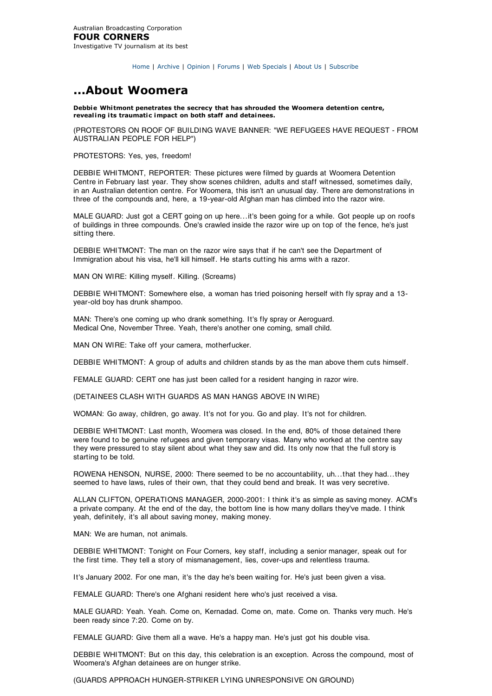Home | Archive | Opinion | Forums | Web Specials | About Us | Subscribe

## **...About Woomera**

**Debbie Whitmont penetrates the secrecy that has shrouded the Woomera detention centre, revealing its traumatic impact on both staff and detainees.**

(PROTESTORS ON ROOF OF BUILDING WAVE BANNER: "WE REFUGEES HAVE REQUEST - FROM AUSTRALIAN PEOPLE FOR HELP")

PROTESTORS: Yes, yes, freedom!

DEBBIE WHITMONT, REPORTER: These pictures were filmed by guards at Woomera Detention Centre in February last year. They show scenes children, adults and staff witnessed, sometimes daily, in an Australian detention centre. For Woomera, this isn't an unusual day. There are demonstrations in three of the compounds and, here, a 19-year-old Afghan man has climbed into the razor wire.

MALE GUARD: Just got a CERT going on up here...it's been going for a while. Got people up on roofs of buildings in three compounds. One's crawled inside the razor wire up on top of the fence, he's just sitting there.

DEBBIE WHITMONT: The man on the razor wire says that if he can't see the Department of Immigration about his visa, he'll kill himself. He starts cutting his arms with a razor.

MAN ON WIRE: Killing myself. Killing. (Screams)

DEBBIE WHITMONT: Somewhere else, a woman has tried poisoning herself with fly spray and a 13 year-old boy has drunk shampoo.

MAN: There's one coming up who drank something. It's fly spray or Aeroguard. Medical One, November Three. Yeah, there's another one coming, small child.

MAN ON WIRE: Take off your camera, motherfucker.

DEBBIE WHITMONT: A group of adults and children stands by as the man above them cuts himself.

FEMALE GUARD: CERT one has just been called for a resident hanging in razor wire.

(DETAINEES CLASH WITH GUARDS AS MAN HANGS ABOVE IN WIRE)

WOMAN: Go away, children, go away. It's not for you. Go and play. It's not for children.

DEBBIE WHITMONT: Last month, Woomera was closed. In the end, 80% of those detained there were found to be genuine refugees and given temporary visas. Many who worked at the centre say they were pressured to stay silent about what they saw and did. Its only now that the full story is starting to be told.

ROWENA HENSON, NURSE, 2000: There seemed to be no accountability, uh...that they had...they seemed to have laws, rules of their own, that they could bend and break. It was very secretive.

ALLAN CLIFTON, OPERATIONS MANAGER, 2000-2001: I think it's as simple as saving money. ACM's a private company. At the end of the day, the bottom line is how many dollars they've made. I think yeah, definitely, it's all about saving money, making money.

MAN: We are human, not animals.

DEBBIE WHITMONT: Tonight on Four Corners, key staff, including a senior manager, speak out for the first time. They tell a story of mismanagement, lies, cover-ups and relentless trauma.

It's January 2002. For one man, it's the day he's been waiting for. He's just been given a visa.

FEMALE GUARD: There's one Afghani resident here who's just received a visa.

MALE GUARD: Yeah. Yeah. Come on, Kernadad. Come on, mate. Come on. Thanks very much. He's been ready since 7:20. Come on by.

FEMALE GUARD: Give them all a wave. He's a happy man. He's just got his double visa.

DEBBIE WHITMONT: But on this day, this celebration is an exception. Across the compound, most of Woomera's Afghan detainees are on hunger strike.

(GUARDS APPROACH HUNGER-STRIKER LYING UNRESPONSIVE ON GROUND)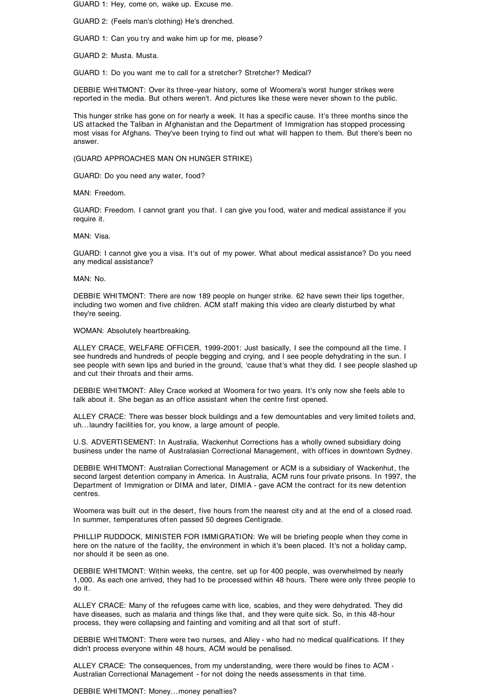GUARD 1: Hey, come on, wake up. Excuse me.

GUARD 2: (Feels man's clothing) He's drenched.

GUARD 1: Can you try and wake him up for me, please?

GUARD 2: Musta. Musta.

GUARD 1: Do you want me to call for a stretcher? Stretcher? Medical?

DEBBIE WHITMONT: Over its three-year history, some of Woomera's worst hunger strikes were reported in the media. But others weren't. And pictures like these were never shown to the public.

This hunger strike has gone on for nearly a week. It has a specific cause. It's three months since the US attacked the Taliban in Afghanistan and the Department of Immigration has stopped processing most visas for Afghans. They've been trying to find out what will happen to them. But there's been no answer.

(GUARD APPROACHES MAN ON HUNGER STRIKE)

GUARD: Do you need any water, food?

MAN: Freedom.

GUARD: Freedom. I cannot grant you that. I can give you food, water and medical assistance if you require it.

MAN: Visa.

GUARD: I cannot give you a visa. It's out of my power. What about medical assistance? Do you need any medical assistance?

MAN: No.

DEBBIE WHITMONT: There are now 189 people on hunger strike. 62 have sewn their lips together, including two women and five children. ACM staff making this video are clearly disturbed by what they're seeing.

WOMAN: Absolutely heartbreaking.

ALLEY CRACE, WELFARE OFFICER, 1999-2001: Just basically, I see the compound all the time. I see hundreds and hundreds of people begging and crying, and I see people dehydrating in the sun. I see people with sewn lips and buried in the ground, 'cause that's what they did. I see people slashed up and cut their throats and their arms.

DEBBIE WHITMONT: Alley Crace worked at Woomera for two years. It's only now she feels able to talk about it. She began as an office assistant when the centre first opened.

ALLEY CRACE: There was besser block buildings and a few demountables and very limited toilets and, uh...laundry facilities for, you know, a large amount of people.

U.S. ADVERTISEMENT: In Australia, Wackenhut Corrections has a wholly owned subsidiary doing business under the name of Australasian Correctional Management, with offices in downtown Sydney.

DEBBIE WHITMONT: Australian Correctional Management or ACM is a subsidiary of Wackenhut, the second largest detention company in America. In Australia, ACM runs four private prisons. In 1997, the Department of Immigration or DIMA and later, DIMIA - gave ACM the contract for its new detention centres.

Woomera was built out in the desert, five hours from the nearest city and at the end of a closed road. In summer, temperatures often passed 50 degrees Centigrade.

PHILLIP RUDDOCK, MINISTER FOR IMMIGRATION: We will be briefing people when they come in here on the nature of the facility, the environment in which it's been placed. It's not a holiday camp, nor should it be seen as one.

DEBBIE WHITMONT: Within weeks, the centre, set up for 400 people, was overwhelmed by nearly 1,000. As each one arrived, they had to be processed within 48 hours. There were only three people to do it.

ALLEY CRACE: Many of the refugees came with lice, scabies, and they were dehydrated. They did have diseases, such as malaria and things like that, and they were quite sick. So, in this 48-hour process, they were collapsing and fainting and vomiting and all that sort of stuff.

DEBBIE WHITMONT: There were two nurses, and Alley - who had no medical qualifications. If they didn't process everyone within 48 hours, ACM would be penalised.

ALLEY CRACE: The consequences, from my understanding, were there would be fines to ACM - Australian Correctional Management - for not doing the needs assessments in that time.

DEBBIE WHITMONT: Money...money penalties?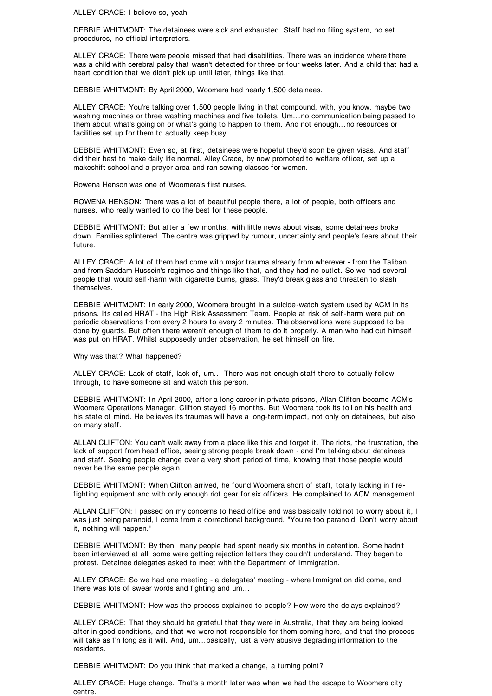ALLEY CRACE: I believe so, yeah.

DEBBIE WHITMONT: The detainees were sick and exhausted. Staff had no filing system, no set procedures, no official interpreters.

ALLEY CRACE: There were people missed that had disabilities. There was an incidence where there was a child with cerebral palsy that wasn't detected for three or four weeks later. And a child that had a heart condition that we didn't pick up until later, things like that.

DEBBIE WHITMONT: By April 2000, Woomera had nearly 1,500 detainees.

ALLEY CRACE: You're talking over 1,500 people living in that compound, with, you know, maybe two washing machines or three washing machines and five toilets. Um...no communication being passed to them about what's going on or what's going to happen to them. And not enough...no resources or facilities set up for them to actually keep busy.

DEBBIE WHITMONT: Even so, at first, detainees were hopeful they'd soon be given visas. And staff did their best to make daily life normal. Alley Crace, by now promoted to welfare officer, set up a makeshift school and a prayer area and ran sewing classes for women.

Rowena Henson was one of Woomera's first nurses.

ROWENA HENSON: There was a lot of beautiful people there, a lot of people, both officers and nurses, who really wanted to do the best for these people.

DEBBIE WHITMONT: But after a few months, with little news about visas, some detainees broke down. Families splintered. The centre was gripped by rumour, uncertainty and people's fears about their future.

ALLEY CRACE: A lot of them had come with major trauma already from wherever - from the Taliban and from Saddam Hussein's regimes and things like that, and they had no outlet. So we had several people that would self -harm with cigarette burns, glass. They'd break glass and threaten to slash themselves.

DEBBIE WHITMONT: In early 2000, Woomera brought in a suicide-watch system used by ACM in its prisons. Its called HRAT - the High Risk Assessment Team. People at risk of self -harm were put on periodic observations from every 2 hours to every 2 minutes. The observations were supposed to be done by guards. But often there weren't enough of them to do it properly. A man who had cut himself was put on HRAT. Whilst supposedly under observation, he set himself on fire.

Why was that? What happened?

ALLEY CRACE: Lack of staff, lack of, um... There was not enough staff there to actually follow through, to have someone sit and watch this person.

DEBBIE WHITMONT: In April 2000, after a long career in private prisons, Allan Clifton became ACM's Woomera Operations Manager. Clifton stayed 16 months. But Woomera took its toll on his health and his state of mind. He believes its traumas will have a long-term impact, not only on detainees, but also on many staff.

ALLAN CLIFTON: You can't walk away from a place like this and forget it. The riots, the frustration, the lack of support from head office, seeing strong people break down - and I'm talking about detainees and staff. Seeing people change over a very short period of time, knowing that those people would never be the same people again.

DEBBIE WHITMONT: When Clifton arrived, he found Woomera short of staff, totally lacking in firefighting equipment and with only enough riot gear for six officers. He complained to ACM management.

ALLAN CLIFTON: I passed on my concerns to head office and was basically told not to worry about it, I was just being paranoid, I come from a correctional background. "You're too paranoid. Don't worry about it, nothing will happen."

DEBBIE WHITMONT: By then, many people had spent nearly six months in detention. Some hadn't been interviewed at all, some were getting rejection letters they couldn't understand. They began to protest. Detainee delegates asked to meet with the Department of Immigration.

ALLEY CRACE: So we had one meeting - a delegates' meeting - where Immigration did come, and there was lots of swear words and fighting and um...

DEBBIE WHITMONT: How was the process explained to people? How were the delays explained?

ALLEY CRACE: That they should be grateful that they were in Australia, that they are being looked after in good conditions, and that we were not responsible for them coming here, and that the process will take as f'n long as it will. And, um...basically, just a very abusive degrading information to the residents.

DEBBIE WHITMONT: Do you think that marked a change, a turning point?

ALLEY CRACE: Huge change. That's a month later was when we had the escape to Woomera city centre.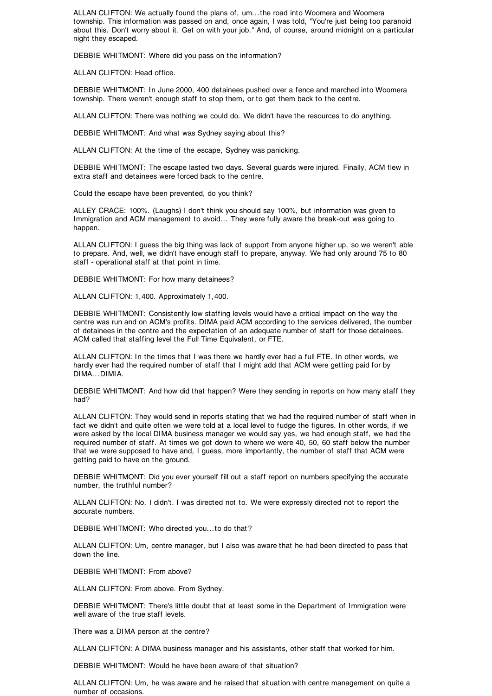ALLAN CLIFTON: We actually found the plans of, um...the road into Woomera and Woomera township. This information was passed on and, once again, I was told, "You're just being too paranoid about this. Don't worry about it. Get on with your job." And, of course, around midnight on a particular night they escaped.

DEBBIE WHITMONT: Where did you pass on the information?

ALLAN CLIFTON: Head office.

DEBBIE WHITMONT: In June 2000, 400 detainees pushed over a fence and marched into Woomera township. There weren't enough staff to stop them, or to get them back to the centre.

ALLAN CLIFTON: There was nothing we could do. We didn't have the resources to do anything.

DEBBIE WHITMONT: And what was Sydney saying about this?

ALLAN CLIFTON: At the time of the escape, Sydney was panicking.

DEBBIE WHITMONT: The escape lasted two days. Several guards were injured. Finally, ACM flew in extra staff and detainees were forced back to the centre.

Could the escape have been prevented, do you think?

ALLEY CRACE: 100%. (Laughs) I don't think you should say 100%, but information was given to Immigration and ACM management to avoid... They were fully aware the break-out was going to happen.

ALLAN CLIFTON: I guess the big thing was lack of support from anyone higher up, so we weren't able to prepare. And, well, we didn't have enough staff to prepare, anyway. We had only around 75 to 80 staff - operational staff at that point in time.

DEBBIE WHITMONT: For how many detainees?

ALLAN CLIFTON: 1,400. Approximately 1,400.

DEBBIE WHITMONT: Consistently low staffing levels would have a critical impact on the way the centre was run and on ACM's profits. DIMA paid ACM according to the services delivered, the number of detainees in the centre and the expectation of an adequate number of staff for those detainees. ACM called that staffing level the Full Time Equivalent, or FTE.

ALLAN CLIFTON: In the times that I was there we hardly ever had a full FTE. In other words, we hardly ever had the required number of staff that I might add that ACM were getting paid for by DIMA...DIMIA.

DEBBIE WHITMONT: And how did that happen? Were they sending in reports on how many staff they had?

ALLAN CLIFTON: They would send in reports stating that we had the required number of staff when in fact we didn't and quite often we were told at a local level to fudge the figures. In other words, if we were asked by the local DIMA business manager we would say yes, we had enough staff, we had the required number of staff. At times we got down to where we were 40, 50, 60 staff below the number that we were supposed to have and, I guess, more importantly, the number of staff that ACM were getting paid to have on the ground.

DEBBIE WHITMONT: Did you ever yourself fill out a staff report on numbers specifying the accurate number, the truthful number?

ALLAN CLIFTON: No. I didn't. I was directed not to. We were expressly directed not to report the accurate numbers.

DEBBIE WHITMONT: Who directed you...to do that ?

ALLAN CLIFTON: Um, centre manager, but I also was aware that he had been directed to pass that down the line.

DEBBIE WHITMONT: From above?

ALLAN CLIFTON: From above. From Sydney.

DEBBIE WHITMONT: There's little doubt that at least some in the Department of Immigration were well aware of the true staff levels.

There was a DIMA person at the centre?

ALLAN CLIFTON: A DIMA business manager and his assistants, other staff that worked for him.

DEBBIE WHITMONT: Would he have been aware of that situation?

ALLAN CLIFTON: Um, he was aware and he raised that situation with centre management on quite a number of occasions.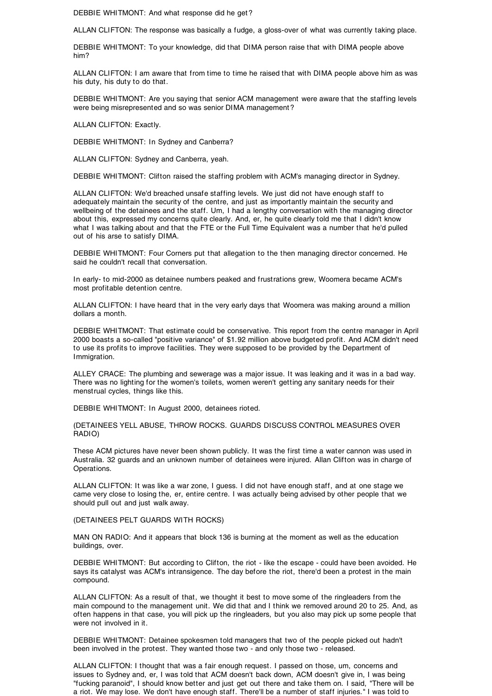DEBBIE WHITMONT: And what response did he get ?

ALLAN CLIFTON: The response was basically a fudge, a gloss-over of what was currently taking place.

DEBBIE WHITMONT: To your knowledge, did that DIMA person raise that with DIMA people above him?

ALLAN CLIFTON: I am aware that from time to time he raised that with DIMA people above him as was his duty, his duty to do that.

DEBBIE WHITMONT: Are you saying that senior ACM management were aware that the staffing levels were being misrepresented and so was senior DIMA management ?

ALLAN CLIFTON: Exactly.

DEBBIE WHITMONT: In Sydney and Canberra?

ALLAN CLIFTON: Sydney and Canberra, yeah.

DEBBIE WHITMONT: Clifton raised the staffing problem with ACM's managing director in Sydney.

ALLAN CLIFTON: We'd breached unsafe staffing levels. We just did not have enough staff to adequately maintain the security of the centre, and just as importantly maintain the security and wellbeing of the detainees and the staff. Um, I had a lengthy conversation with the managing director about this, expressed my concerns quite clearly. And, er, he quite clearly told me that I didn't know what I was talking about and that the FTE or the Full Time Equivalent was a number that he'd pulled out of his arse to satisfy DIMA.

DEBBIE WHITMONT: Four Corners put that allegation to the then managing director concerned. He said he couldn't recall that conversation.

In early- to mid-2000 as detainee numbers peaked and frustrations grew, Woomera became ACM's most profitable detention centre.

ALLAN CLIFTON: I have heard that in the very early days that Woomera was making around a million dollars a month.

DEBBIE WHITMONT: That estimate could be conservative. This report from the centre manager in April 2000 boasts a so-called "positive variance" of \$1.92 million above budgeted profit. And ACM didn't need to use its profits to improve facilities. They were supposed to be provided by the Department of Immigration.

ALLEY CRACE: The plumbing and sewerage was a major issue. It was leaking and it was in a bad way. There was no lighting for the women's toilets, women weren't getting any sanitary needs for their menstrual cycles, things like this.

DEBBIE WHITMONT: In August 2000, detainees rioted.

(DETAINEES YELL ABUSE, THROW ROCKS. GUARDS DISCUSS CONTROL MEASURES OVER RADIO)

These ACM pictures have never been shown publicly. It was the first time a water cannon was used in Australia. 32 guards and an unknown number of detainees were injured. Allan Clifton was in charge of Operations.

ALLAN CLIFTON: It was like a war zone, I guess. I did not have enough staff, and at one stage we came very close to losing the, er, entire centre. I was actually being advised by other people that we should pull out and just walk away.

(DETAINEES PELT GUARDS WITH ROCKS)

MAN ON RADIO: And it appears that block 136 is burning at the moment as well as the education buildings, over.

DEBBIE WHITMONT: But according to Clifton, the riot - like the escape - could have been avoided. He says its catalyst was ACM's intransigence. The day before the riot, there'd been a protest in the main compound.

ALLAN CLIFTON: As a result of that, we thought it best to move some of the ringleaders from the main compound to the management unit. We did that and I think we removed around 20 to 25. And, as often happens in that case, you will pick up the ringleaders, but you also may pick up some people that were not involved in it.

DEBBIE WHITMONT: Detainee spokesmen told managers that two of the people picked out hadn't been involved in the protest. They wanted those two - and only those two - released.

ALLAN CLIFTON: I thought that was a fair enough request. I passed on those, um, concerns and issues to Sydney and, er, I was told that ACM doesn't back down, ACM doesn't give in, I was being "fucking paranoid", I should know better and just get out there and take them on. I said, "There will be a riot. We may lose. We don't have enough staff. There'll be a number of staff injuries." I was told to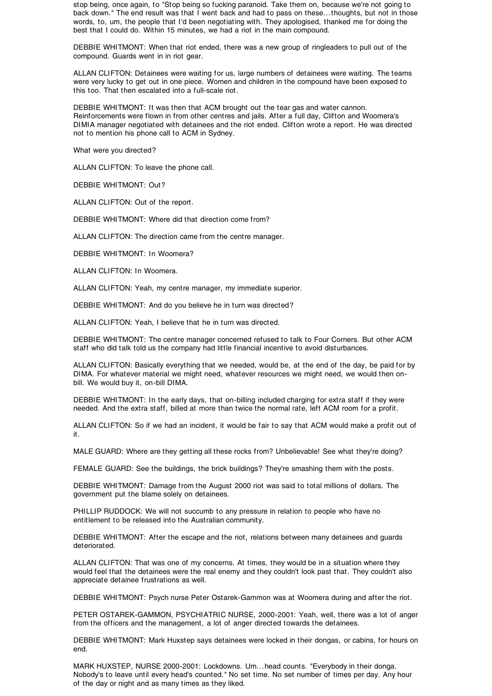stop being, once again, to "Stop being so fucking paranoid. Take them on, because we're not going to back down." The end result was that I went back and had to pass on these...thoughts, but not in those words, to, um, the people that I'd been negotiating with. They apologised, thanked me for doing the best that I could do. Within 15 minutes, we had a riot in the main compound.

DEBBIE WHITMONT: When that riot ended, there was a new group of ringleaders to pull out of the compound. Guards went in in riot gear.

ALLAN CLIFTON: Detainees were waiting for us, large numbers of detainees were waiting. The teams were very lucky to get out in one piece. Women and children in the compound have been exposed to this too. That then escalated into a full-scale riot.

DEBBIE WHITMONT: It was then that ACM brought out the tear gas and water cannon. Reinforcements were flown in from other centres and jails. After a full day, Clifton and Woomera's DIMIA manager negotiated with detainees and the riot ended. Clifton wrote a report. He was directed not to mention his phone call to ACM in Sydney.

What were you directed?

ALLAN CLIFTON: To leave the phone call.

DEBBIE WHITMONT: Out?

ALLAN CLIFTON: Out of the report.

DEBBIE WHITMONT: Where did that direction come from?

ALLAN CLIFTON: The direction came from the centre manager.

DEBBIE WHITMONT: In Woomera?

ALLAN CLIFTON: In Woomera.

ALLAN CLIFTON: Yeah, my centre manager, my immediate superior.

DEBBIE WHITMONT: And do you believe he in turn was directed?

ALLAN CLIFTON: Yeah, I believe that he in turn was directed.

DEBBIE WHITMONT: The centre manager concerned refused to talk to Four Corners. But other ACM staff who did talk told us the company had little financial incentive to avoid disturbances.

ALLAN CLIFTON: Basically everything that we needed, would be, at the end of the day, be paid for by DIMA. For whatever material we might need, whatever resources we might need, we would then onbill. We would buy it, on-bill DIMA.

DEBBIE WHITMONT: In the early days, that on-billing included charging for extra staff if they were needed. And the extra staff, billed at more than twice the normal rate, left ACM room for a profit.

ALLAN CLIFTON: So if we had an incident, it would be fair to say that ACM would make a profit out of it.

MALE GUARD: Where are they getting all these rocks from? Unbelievable! See what they're doing?

FEMALE GUARD: See the buildings, the brick buildings? They're smashing them with the posts.

DEBBIE WHITMONT: Damage from the August 2000 riot was said to total millions of dollars. The government put the blame solely on detainees.

PHILLIP RUDDOCK: We will not succumb to any pressure in relation to people who have no entitlement to be released into the Australian community.

DEBBIE WHITMONT: After the escape and the riot, relations between many detainees and guards deteriorated.

ALLAN CLIFTON: That was one of my concerns. At times, they would be in a situation where they would feel that the detainees were the real enemy and they couldn't look past that. They couldn't also appreciate detainee frustrations as well.

DEBBIE WHITMONT: Psych nurse Peter Ostarek-Gammon was at Woomera during and after the riot.

PETER OSTAREK-GAMMON, PSYCHIATRIC NURSE, 2000-2001: Yeah, well, there was a lot of anger from the officers and the management, a lot of anger directed towards the detainees.

DEBBIE WHITMONT: Mark Huxstep says detainees were locked in their dongas, or cabins, for hours on end.

MARK HUXSTEP, NURSE 2000-2001: Lockdowns. Um...head counts. "Everybody in their donga. Nobody's to leave until every head's counted." No set time. No set number of times per day. Any hour of the day or night and as many times as they liked.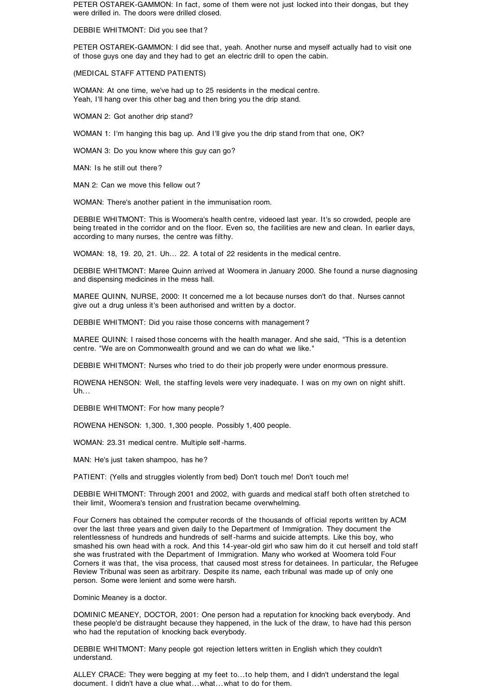PETER OSTAREK-GAMMON: In fact, some of them were not just locked into their dongas, but they were drilled in. The doors were drilled closed.

DEBBIE WHITMONT: Did you see that ?

PETER OSTAREK-GAMMON: I did see that, yeah. Another nurse and myself actually had to visit one of those guys one day and they had to get an electric drill to open the cabin.

(MEDICAL STAFF ATTEND PATIENTS)

WOMAN: At one time, we've had up to 25 residents in the medical centre. Yeah, I'll hang over this other bag and then bring you the drip stand.

WOMAN 2: Got another drip stand?

WOMAN 1: I'm hanging this bag up. And I'll give you the drip stand from that one, OK?

WOMAN 3: Do you know where this guy can go?

MAN: Is he still out there?

MAN 2: Can we move this fellow out ?

WOMAN: There's another patient in the immunisation room.

DEBBIE WHITMONT: This is Woomera's health centre, videoed last year. It's so crowded, people are being treated in the corridor and on the floor. Even so, the facilities are new and clean. In earlier days, according to many nurses, the centre was filthy.

WOMAN: 18, 19. 20, 21. Uh... 22. A total of 22 residents in the medical centre.

DEBBIE WHITMONT: Maree Quinn arrived at Woomera in January 2000. She found a nurse diagnosing and dispensing medicines in the mess hall.

MAREE QUINN, NURSE, 2000: It concerned me a lot because nurses don't do that. Nurses cannot give out a drug unless it's been authorised and written by a doctor.

DEBBIE WHITMONT: Did you raise those concerns with management ?

MAREE QUINN: I raised those concerns with the health manager. And she said, "This is a detention centre. "We are on Commonwealth ground and we can do what we like."

DEBBIE WHITMONT: Nurses who tried to do their job properly were under enormous pressure.

ROWENA HENSON: Well, the staffing levels were very inadequate. I was on my own on night shift.  $U<sub>h...</sub>$ 

DEBBIE WHITMONT: For how many people?

ROWENA HENSON: 1,300. 1,300 people. Possibly 1,400 people.

WOMAN: 23.31 medical centre. Multiple self -harms.

MAN: He's just taken shampoo, has he?

PATIENT: (Yells and struggles violently from bed) Don't touch me! Don't touch me!

DEBBIE WHITMONT: Through 2001 and 2002, with guards and medical staff both often stretched to their limit, Woomera's tension and frustration became overwhelming.

Four Corners has obtained the computer records of the thousands of official reports written by ACM over the last three years and given daily to the Department of Immigration. They document the relentlessness of hundreds and hundreds of self -harms and suicide attempts. Like this boy, who smashed his own head with a rock. And this 14-year-old girl who saw him do it cut herself and told staff she was frustrated with the Department of Immigration. Many who worked at Woomera told Four Corners it was that, the visa process, that caused most stress for detainees. In particular, the Refugee Review Tribunal was seen as arbitrary. Despite its name, each tribunal was made up of only one person. Some were lenient and some were harsh.

Dominic Meaney is a doctor.

DOMINIC MEANEY, DOCTOR, 2001: One person had a reputation for knocking back everybody. And these people'd be distraught because they happened, in the luck of the draw, to have had this person who had the reputation of knocking back everybody.

DEBBIE WHITMONT: Many people got rejection letters written in English which they couldn't understand.

ALLEY CRACE: They were begging at my feet to...to help them, and I didn't understand the legal document. I didn't have a clue what...what...what to do for them.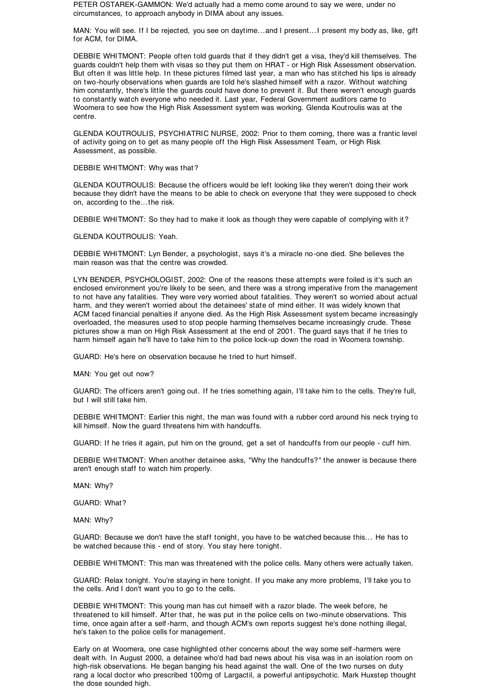PETER OSTAREK-GAMMON: We'd actually had a memo come around to say we were, under no circumstances, to approach anybody in DIMA about any issues.

MAN: You will see. If I be rejected, you see on daytime...and I present...I present my body as, like, gift for ACM, for DIMA.

DEBBIE WHITMONT: People often told guards that if they didn't get a visa, they'd kill themselves. The guards couldn't help them with visas so they put them on HRAT - or High Risk Assessment observation. But often it was little help. In these pictures filmed last year, a man who has stitched his lips is already on two-hourly observations when guards are told he's slashed himself with a razor. Without watching him constantly, there's little the guards could have done to prevent it. But there weren't enough guards to constantly watch everyone who needed it. Last year, Federal Government auditors came to Woomera to see how the High Risk Assessment system was working. Glenda Koutroulis was at the centre.

GLENDA KOUTROULIS, PSYCHIATRIC NURSE, 2002: Prior to them coming, there was a frantic level of activity going on to get as many people off the High Risk Assessment Team, or High Risk Assessment, as possible.

DEBBIE WHITMONT: Why was that ?

GLENDA KOUTROULIS: Because the officers would be left looking like they weren't doing their work because they didn't have the means to be able to check on everyone that they were supposed to check on, according to the...the risk.

DEBBIE WHITMONT: So they had to make it look as though they were capable of complying with it?

GLENDA KOUTROULIS: Yeah.

DEBBIE WHITMONT: Lyn Bender, a psychologist, says it's a miracle no-one died. She believes the main reason was that the centre was crowded.

LYN BENDER, PSYCHOLOGIST, 2002: One of the reasons these attempts were foiled is it's such an enclosed environment you're likely to be seen, and there was a strong imperative from the management to not have any fatalities. They were very worried about fatalities. They weren't so worried about actual harm, and they weren't worried about the detainees' state of mind either. It was widely known that ACM faced financial penalties if anyone died. As the High Risk Assessment system became increasingly overloaded, the measures used to stop people harming themselves became increasingly crude. These pictures show a man on High Risk Assessment at the end of 2001. The guard says that if he tries to harm himself again he'll have to take him to the police lock-up down the road in Woomera township.

GUARD: He's here on observation because he tried to hurt himself.

MAN: You get out now?

GUARD: The officers aren't going out. If he tries something again, I'll take him to the cells. They're full, but I will still take him.

DEBBIE WHITMONT: Earlier this night, the man was found with a rubber cord around his neck trying to kill himself. Now the guard threatens him with handcuffs.

GUARD: If he tries it again, put him on the ground, get a set of handcuffs from our people - cuff him.

DEBBIE WHITMONT: When another detainee asks, "Why the handcuffs?" the answer is because there aren't enough staff to watch him properly.

MAN: Why?

GUARD: What?

MAN: Why?

GUARD: Because we don't have the staff tonight, you have to be watched because this... He has to be watched because this - end of story. You stay here tonight.

DEBBIE WHITMONT: This man was threatened with the police cells. Many others were actually taken.

GUARD: Relax tonight. You're staying in here tonight. If you make any more problems, I'll take you to the cells. And I don't want you to go to the cells.

DEBBIE WHITMONT: This young man has cut himself with a razor blade. The week before, he threatened to kill himself. After that, he was put in the police cells on two-minute observations. This time, once again after a self -harm, and though ACM's own reports suggest he's done nothing illegal, he's taken to the police cells for management.

Early on at Woomera, one case highlighted other concerns about the way some self -harmers were dealt with. In August 2000, a detainee who'd had bad news about his visa was in an isolation room on high-risk observations. He began banging his head against the wall. One of the two nurses on duty rang a local doctor who prescribed 100mg of Largactil, a powerful antipsychotic. Mark Huxstep thought the dose sounded high.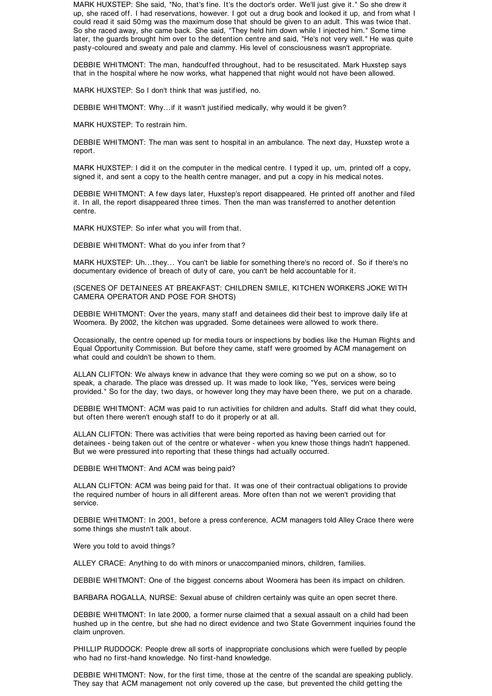MARK HUXSTEP: She said, "No, that's fine. It's the doctor's order. We'll just give it." So she drew it up, she raced off. I had reservations, however. I got out a drug book and looked it up, and from what I could read it said 50mg was the maximum dose that should be given to an adult. This was twice that. So she raced away, she came back. She said, "They held him down while I injected him." Some time later, the guards brought him over to the detention centre and said, "He's not very well." He was quite pasty-coloured and sweaty and pale and clammy. His level of consciousness wasn't appropriate.

DEBBIE WHITMONT: The man, handcuffed throughout, had to be resuscitated. Mark Huxstep says that in the hospital where he now works, what happened that night would not have been allowed.

MARK HUXSTEP: So I don't think that was justified, no.

DEBBIE WHITMONT: Why...if it wasn't justified medically, why would it be given?

MARK HUXSTEP: To restrain him.

DEBBIE WHITMONT: The man was sent to hospital in an ambulance. The next day, Huxstep wrote a report.

MARK HUXSTEP: I did it on the computer in the medical centre. I typed it up, um, printed off a copy, signed it, and sent a copy to the health centre manager, and put a copy in his medical notes.

DEBBIE WHITMONT: A few days later, Huxstep's report disappeared. He printed off another and filed it. In all, the report disappeared three times. Then the man was transferred to another detention centre.

MARK HUXSTEP: So infer what you will from that.

DEBBIE WHITMONT: What do you infer from that ?

MARK HUXSTEP: Uh...they... You can't be liable for something there's no record of. So if there's no documentary evidence of breach of duty of care, you can't be held accountable for it.

(SCENES OF DETAINEES AT BREAKFAST: CHILDREN SMILE, KITCHEN WORKERS JOKE WITH CAMERA OPERATOR AND POSE FOR SHOTS)

DEBBIE WHITMONT: Over the years, many staff and detainees did their best to improve daily life at Woomera. By 2002, the kitchen was upgraded. Some detainees were allowed to work there.

Occasionally, the centre opened up for media tours or inspections by bodies like the Human Rights and Equal Opportunity Commission. But before they came, staff were groomed by ACM management on what could and couldn't be shown to them.

ALLAN CLIFTON: We always knew in advance that they were coming so we put on a show, so to speak, a charade. The place was dressed up. It was made to look like, "Yes, services were being provided." So for the day, two days, or however long they may have been there, we put on a charade.

DEBBIE WHITMONT: ACM was paid to run activities for children and adults. Staff did what they could, but often there weren't enough staff to do it properly or at all.

ALLAN CLIFTON: There was activities that were being reported as having been carried out for detainees - being taken out of the centre or whatever - when you knew those things hadn't happened. But we were pressured into reporting that these things had actually occurred.

DEBBIE WHITMONT: And ACM was being paid?

ALLAN CLIFTON: ACM was being paid for that. It was one of their contractual obligations to provide the required number of hours in all different areas. More often than not we weren't providing that service.

DEBBIE WHITMONT: In 2001, before a press conference, ACM managers told Alley Crace there were some things she mustn't talk about.

Were you told to avoid things?

ALLEY CRACE: Anything to do with minors or unaccompanied minors, children, families.

DEBBIE WHITMONT: One of the biggest concerns about Woomera has been its impact on children.

BARBARA ROGALLA, NURSE: Sexual abuse of children certainly was quite an open secret there.

DEBBIE WHITMONT: In late 2000, a former nurse claimed that a sexual assault on a child had been hushed up in the centre, but she had no direct evidence and two State Government inquiries found the claim unproven.

PHILLIP RUDDOCK: People drew all sorts of inappropriate conclusions which were fuelled by people who had no first-hand knowledge. No first-hand knowledge.

DEBBIE WHITMONT: Now, for the first time, those at the centre of the scandal are speaking publicly. They say that ACM management not only covered up the case, but prevented the child getting the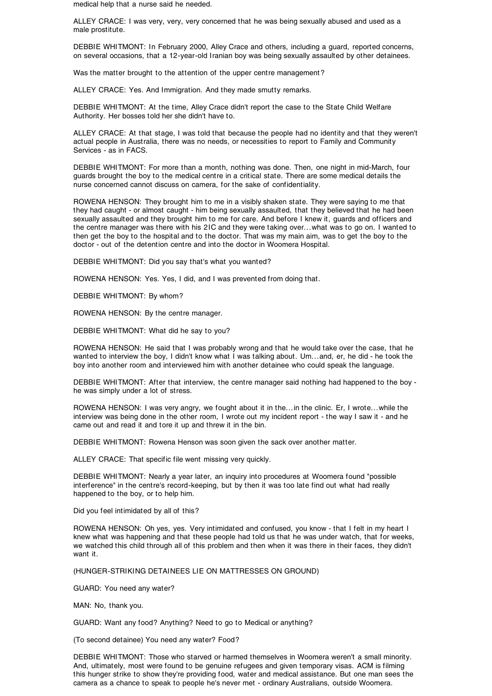medical help that a nurse said he needed.

ALLEY CRACE: I was very, very, very concerned that he was being sexually abused and used as a male prostitute.

DEBBIE WHITMONT: In February 2000, Alley Crace and others, including a guard, reported concerns, on several occasions, that a 12-year-old Iranian boy was being sexually assaulted by other detainees.

Was the matter brought to the attention of the upper centre management ?

ALLEY CRACE: Yes. And Immigration. And they made smutty remarks.

DEBBIE WHITMONT: At the time, Alley Crace didn't report the case to the State Child Welfare Authority. Her bosses told her she didn't have to.

ALLEY CRACE: At that stage, I was told that because the people had no identity and that they weren't actual people in Australia, there was no needs, or necessities to report to Family and Community Services - as in FACS.

DEBBIE WHITMONT: For more than a month, nothing was done. Then, one night in mid-March, four guards brought the boy to the medical centre in a critical state. There are some medical details the nurse concerned cannot discuss on camera, for the sake of confidentiality.

ROWENA HENSON: They brought him to me in a visibly shaken state. They were saying to me that they had caught - or almost caught - him being sexually assaulted, that they believed that he had been sexually assaulted and they brought him to me for care. And before I knew it, guards and officers and the centre manager was there with his 2IC and they were taking over...what was to go on. I wanted to then get the boy to the hospital and to the doctor. That was my main aim, was to get the boy to the doctor - out of the detention centre and into the doctor in Woomera Hospital.

DEBBIE WHITMONT: Did you say that's what you wanted?

ROWENA HENSON: Yes. Yes, I did, and I was prevented from doing that.

DEBBIE WHITMONT: By whom?

ROWENA HENSON: By the centre manager.

DEBBIE WHITMONT: What did he say to you?

ROWENA HENSON: He said that I was probably wrong and that he would take over the case, that he wanted to interview the boy, I didn't know what I was talking about. Um...and, er, he did - he took the boy into another room and interviewed him with another detainee who could speak the language.

DEBBIE WHITMONT: After that interview, the centre manager said nothing had happened to the boy he was simply under a lot of stress.

ROWENA HENSON: I was very angry, we fought about it in the...in the clinic. Er, I wrote...while the interview was being done in the other room, I wrote out my incident report - the way I saw it - and he came out and read it and tore it up and threw it in the bin.

DEBBIE WHITMONT: Rowena Henson was soon given the sack over another matter.

ALLEY CRACE: That specific file went missing very quickly.

DEBBIE WHITMONT: Nearly a year later, an inquiry into procedures at Woomera found "possible interference" in the centre's record-keeping, but by then it was too late find out what had really happened to the boy, or to help him.

Did you feel intimidated by all of this?

ROWENA HENSON: Oh yes, yes. Very intimidated and confused, you know - that I felt in my heart I knew what was happening and that these people had told us that he was under watch, that for weeks, we watched this child through all of this problem and then when it was there in their faces, they didn't want it.

(HUNGER-STRIKING DETAINEES LIE ON MATTRESSES ON GROUND)

GUARD: You need any water?

MAN: No, thank you.

GUARD: Want any food? Anything? Need to go to Medical or anything?

(To second detainee) You need any water? Food?

DEBBIE WHITMONT: Those who starved or harmed themselves in Woomera weren't a small minority. And, ultimately, most were found to be genuine refugees and given temporary visas. ACM is filming this hunger strike to show they're providing food, water and medical assistance. But one man sees the camera as a chance to speak to people he's never met - ordinary Australians, outside Woomera.